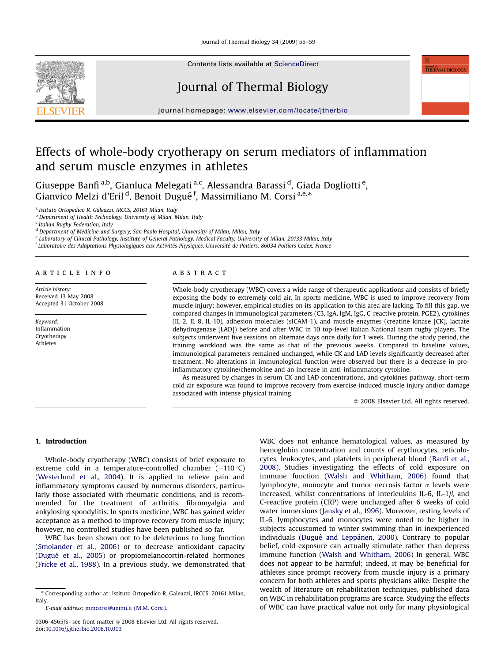Journal of Thermal Biology 34 (2009) 55–59



Contents lists available at [ScienceDirect](www.sciencedirect.com/science/journal/tb)

# Journal of Thermal Biology

journal homepage: <www.elsevier.com/locate/jtherbio>

## Effects of whole-body cryotherapy on serum mediators of inflammation and serum muscle enzymes in athletes

Giuseppe Banfi<sup>a,b</sup>, Gianluca Melegati<sup>a,c</sup>, Alessandra Barassi <sup>d</sup>, Giada Dogliotti <sup>e</sup>, Gianvico Melzi d'Eril <sup>d</sup>, Benoit Dugué<sup>f</sup>, Massimiliano M. Corsi<sup>a,e,\*</sup>

<sup>a</sup> Istituto Ortopedico R. Galeazzi, IRCCS, 20161 Milan, Italy

**b** Department of Health Technology, University of Milan, Milan, Italy

<sup>c</sup> Italian Rugby Federation, Italy

<sup>d</sup> Department of Medicine and Surgery, San Paolo Hospital, University of Milan, Milan, Italy

<sup>e</sup> Laboratory of Clinical Pathology, Institute of General Pathology, Medical Faculty, University of Milan, 20133 Milan, Italy

 $f$ Laboratoire des Adaptations Physiologiques aux Activités Physiques, Université de Poitiers, 86034 Poitiers Cedex, France

#### article info

Article history: Received 13 May 2008 Accepted 31 October 2008

Keyword: Inflammation Cryotherapy Athletes

## **ABSTRACT**

Whole-body cryotherapy (WBC) covers a wide range of therapeutic applications and consists of briefly exposing the body to extremely cold air. In sports medicine, WBC is used to improve recovery from muscle injury; however, empirical studies on its application to this area are lacking. To fill this gap, we compared changes in immunological parameters (C3, IgA, IgM, IgG, C-reactive protein, PGE2), cytokines (IL-2, IL-8, IL-10), adhesion molecules (sICAM-1), and muscle enzymes (creatine kinase [CK], lactate dehydrogenase [LAD]) before and after WBC in 10 top-level Italian National team rugby players. The subjects underwent five sessions on alternate days once daily for 1 week. During the study period, the training workload was the same as that of the previous weeks. Compared to baseline values, immunological parameters remained unchanged, while CK and LAD levels significantly decreased after treatment. No alterations in immunological function were observed but there is a decrease in proinflammatory cytokine/chemokine and an increase in anti-inflammatory cytokine.

As measured by changes in serum CK and LAD concentrations, and cytokines pathway, short-term cold air exposure was found to improve recovery from exercise-induced muscle injury and/or damage associated with intense physical training.

 $\odot$  2008 Elsevier Ltd. All rights reserved.

Journal of<br>THERMAL BIOLOGY

## 1. Introduction

Whole-body cryotherapy (WBC) consists of brief exposure to extreme cold in a temperature-controlled chamber  $(-110\degree \text{C})$ ([Westerlund et al., 2004\)](#page-4-0). It is applied to relieve pain and inflammatory symptoms caused by numerous disorders, particularly those associated with rheumatic conditions, and is recommended for the treatment of arthritis, fibromyalgia and ankylosing spondylitis. In sports medicine, WBC has gained wider acceptance as a method to improve recovery from muscle injury; however, no controlled studies have been published so far.

WBC has been shown not to be deleterious to lung function ([Smolander et al., 2006\)](#page-4-0) or to decrease antioxidant capacity (Dugué [et al., 2005](#page-3-0)) or propiomelanocortin-related hormones ([Fricke et al., 1988](#page-3-0)). In a previous study, we demonstrated that WBC does not enhance hematological values, as measured by hemoglobin concentration and counts of erythrocytes, reticulocytes, leukocytes, and platelets in peripheral blood [\(Banfi et al.,](#page-3-0) [2008\)](#page-3-0). Studies investigating the effects of cold exposure on immune function [\(Walsh and Whitham, 2006](#page-4-0)) found that lymphocyte, monocyte and tumor necrosis factor  $\alpha$  levels were increased, whilst concentrations of interleukins IL-6, IL-1 $\beta$ , and C-reactive protein (CRP) were unchanged after 6 weeks of cold water immersions [\(Jansky et al., 1996](#page-4-0)). Moreover, resting levels of IL-6, lymphocytes and monocytes were noted to be higher in subjects accustomed to winter swimming than in inexperienced individuals (Dugué and Leppänen, 2000). Contrary to popular belief, cold exposure can actually stimulate rather than depress immune function [\(Walsh and Whitham, 2006](#page-4-0)) In general, WBC does not appear to be harmful; indeed, it may be beneficial for athletes since prompt recovery from muscle injury is a primary concern for both athletes and sports physicians alike. Despite the wealth of literature on rehabilitation techniques, published data on WBC in rehabilitation programs are scarce. Studying the effects of WBC can have practical value not only for many physiological

<sup>\*</sup> Corresponding author at: Istituto Ortopedico R. Galeazzi, IRCCS, 20161 Milan, Italy.

E-mail address: [mmcorsi@unimi.it \(M.M. Corsi\).](mailto:mmcorsi@unimi.it)

<sup>0306-4565/\$ -</sup> see front matter  $\odot$  2008 Elsevier Ltd. All rights reserved. doi:[10.1016/j.jtherbio.2008.10.003](dx.doi.org/10.1016/j.jtherbio.2008.10.003)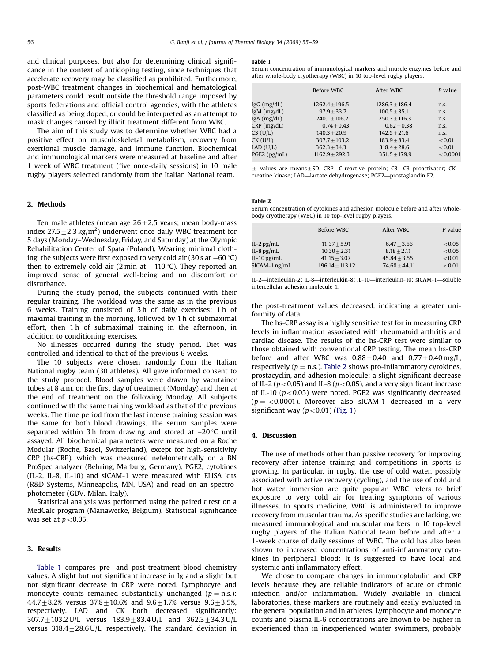and clinical purposes, but also for determining clinical significance in the context of antidoping testing, since techniques that accelerate recovery may be classified as prohibited. Furthermore, post-WBC treatment changes in biochemical and hematological parameters could result outside the threshold range imposed by sports federations and official control agencies, with the athletes classified as being doped, or could be interpreted as an attempt to mask changes caused by illicit treatment different from WBC.

The aim of this study was to determine whether WBC had a positive effect on musculoskeletal metabolism, recovery from exertional muscle damage, and immune function. Biochemical and immunological markers were measured at baseline and after 1 week of WBC treatment (five once-daily sessions) in 10 male rugby players selected randomly from the Italian National team.

## 2. Methods

Ten male athletes (mean age  $26+2.5$  years; mean body-mass index 27.5 $\pm$ 2.3 kg/m<sup>2</sup>) underwent once daily WBC treatment for 5 days (Monday–Wednesday, Friday, and Saturday) at the Olympic Rehabilitation Center of Spała (Poland). Wearing minimal clothing, the subjects were first exposed to very cold air (30 s at  $-60\,^{\circ}\mathrm{C})$ then to extremely cold air  $(2 \text{ min at } -110 \degree C)$ . They reported an improved sense of general well-being and no discomfort or disturbance.

During the study period, the subjects continued with their regular training. The workload was the same as in the previous 6 weeks. Training consisted of 3 h of daily exercises: 1 h of maximal training in the morning, followed by 1 h of submaximal effort, then 1 h of submaximal training in the afternoon, in addition to conditioning exercises.

No illnesses occurred during the study period. Diet was controlled and identical to that of the previous 6 weeks.

The 10 subjects were chosen randomly from the Italian National rugby team (30 athletes). All gave informed consent to the study protocol. Blood samples were drawn by vacutainer tubes at 8 a.m. on the first day of treatment (Monday) and then at the end of treatment on the following Monday. All subjects continued with the same training workload as that of the previous weeks. The time period from the last intense training session was the same for both blood drawings. The serum samples were separated within 3 h from drawing and stored at  $-20^{\circ}C$  until assayed. All biochemical parameters were measured on a Roche Modular (Roche, Basel, Switzerland), except for high-sensitivity CRP (hs-CRP), which was measured nefelometrically on a BN ProSpec analyzer (Behring, Marburg, Germany). PGE2, cytokines (IL-2, IL-8, IL-10) and sICAM-1 were measured with ELISA kits (R&D Systems, Minneapolis, MN, USA) and read on an spectrophotometer (GDV, Milan, Italy).

Statistical analysis was performed using the paired  $t$  test on a MedCalc program (Mariawerke, Belgium). Statistical significance was set at  $p < 0.05$ .

#### 3. Results

Table 1 compares pre- and post-treatment blood chemistry values. A slight but not significant increase in Ig and a slight but not significant decrease in CRP were noted. Lymphocyte and monocyte counts remained substantially unchanged ( $p = n.s.$ ):  $44.7+8.2%$  versus  $37.8+10.6%$  and  $9.6+1.7%$  versus  $9.6+3.5%$ , respectively. LAD and CK both decreased significantly:  $307.7 \pm 103.2$  U/L versus  $183.9 \pm 83.4$  U/L and  $362.3 \pm 34.3$  U/L versus  $318.4 \pm 28.6$  U/L, respectively. The standard deviation in

#### Table 1

Serum concentration of immunological markers and muscle enzymes before and after whole-body cryotherapy (WBC) in 10 top-level rugby players.

|                                    | Before WBC                       | After WBC                         | P value      |
|------------------------------------|----------------------------------|-----------------------------------|--------------|
| $lgG$ (mg/dL)                      | $1262.4 + 196.5$                 | $1286.3 + 186.4$                  | n.s.         |
| $lgM$ (mg/dL)<br>$IgA$ ( $mg/dL$ ) | $97.9 + 33.7$<br>$240.1 + 106.2$ | $100.5 + 35.1$<br>$250.3 + 116.3$ | n.s.<br>n.s. |
| $CRP$ (mg/dL)                      | $0.74 + 0.43$                    | $0.62 + 0.38$                     | n.s.         |
| $C3$ (U/L)                         | $140.3 + 20.9$                   | $142.5 + 21.6$                    | n.s.         |
| $CK$ (U/L)                         | $307.7 + 103.2$                  | $183.9 + 83.4$                    | < 0.01       |
| $LAD$ $(U/L)$                      | $362.3 + 34.3$                   | $318.4 + 28.6$                    | < 0.01       |
| $PGE2$ ( $pg/mL$ )                 | $1162.9 + 292.3$                 | $351.5 + 179.9$                   | < 0.0001     |

 $+$  values are means $+$ SD. CRP—C-reactive protein; C3—C3 proactivator; CK creatine kinase; LAD—lactate dehydrogenase; PGE2—prostaglandin E2.

## Table 2

Serum concentration of cytokines and adhesion molecule before and after wholebody cryotherapy (WBC) in 10 top-level rugby players.

|                 | Before WBC        | After WBC       | P value |
|-----------------|-------------------|-----------------|---------|
| IL-2 $pg/mL$    | $11.37 + 5.91$    | $6.47 + 3.66$   | < 0.05  |
| IL-8 $pg/mL$    | $10.30 + 2.31$    | $8.18 + 2.11$   | < 0.05  |
| $IL-10$ pg/mL   | $41.15 + 3.07$    | $45.84 + 3.55$  | < 0.01  |
| $SICAM-1$ ng/mL | $196.14 + 113.12$ | $74.68 + 44.11$ | < 0.01  |

IL-2—interleukin-2; IL-8—interleukin-8; IL-10—interleukin-10; sICAM-1—soluble intercellular adhesion molecule 1.

the post-treatment values decreased, indicating a greater uniformity of data.

The hs-CRP assay is a highly sensitive test for in measuring CRP levels in inflammation associated with rheumatoid arthritis and cardiac disease. The results of the hs-CRP test were similar to those obtained with conventional CRP testing. The mean hs-CRP before and after WBC was  $0.88\pm0.40$  and  $0.77\pm0.40$  mg/L, respectively ( $p =$  n.s.). Table 2 shows pro-inflammatory cytokines, prostacyclin, and adhesion molecule: a slight significant decrease of IL-2 ( $p < 0.05$ ) and IL-8 ( $p < 0.05$ ), and a very significant increase of IL-10 ( $p < 0.05$ ) were noted. PGE2 was significantly decreased  $(p = 0.0001)$ . Moreover also sICAM-1 decreased in a very significant way  $(p<0.01)$  [\(Fig. 1\)](#page-2-0)

## 4. Discussion

The use of methods other than passive recovery for improving recovery after intense training and competitions in sports is growing. In particular, in rugby, the use of cold water, possibly associated with active recovery (cycling), and the use of cold and hot water immersion are quite popular. WBC refers to brief exposure to very cold air for treating symptoms of various illnesses. In sports medicine, WBC is administered to improve recovery from muscular trauma. As specific studies are lacking, we measured immunological and muscular markers in 10 top-level rugby players of the Italian National team before and after a 1-week course of daily sessions of WBC. The cold has also been shown to increased concentrations of anti-inflammatory cytokines in peripheral blood: it is suggested to have local and systemic anti-inflammatory effect.

We chose to compare changes in immunoglobulin and CRP levels because they are reliable indicators of acute or chronic infection and/or inflammation. Widely available in clinical laboratories, these markers are routinely and easily evaluated in the general population and in athletes. Lymphocyte and monocyte counts and plasma IL-6 concentrations are known to be higher in experienced than in inexperienced winter swimmers, probably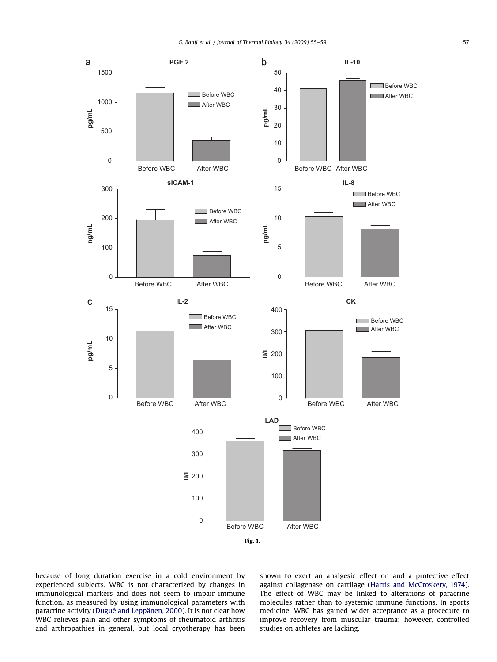<span id="page-2-0"></span>

because of long duration exercise in a cold environment by experienced subjects. WBC is not characterized by changes in immunological markers and does not seem to impair immune function, as measured by using immunological parameters with paracrine activity (Dugué and Leppänen, 2000). It is not clear how WBC relieves pain and other symptoms of rheumatoid arthritis and arthropathies in general, but local cryotherapy has been shown to exert an analgesic effect on and a protective effect against collagenase on cartilage [\(Harris and McCroskery, 1974\)](#page-3-0). The effect of WBC may be linked to alterations of paracrine molecules rather than to systemic immune functions. In sports medicine, WBC has gained wider acceptance as a procedure to improve recovery from muscular trauma; however, controlled studies on athletes are lacking.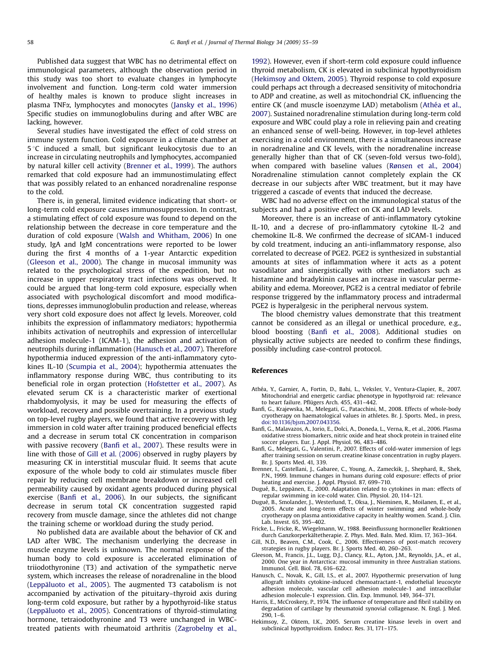<span id="page-3-0"></span>Published data suggest that WBC has no detrimental effect on immunological parameters, although the observation period in this study was too short to evaluate changes in lymphocyte involvement and function. Long-term cold water immersion of healthy males is known to produce slight increases in plasma TNFa, lymphocytes and monocytes [\(Jansky et al., 1996\)](#page-4-0) Specific studies on immunoglobulins during and after WBC are lacking, however.

Several studies have investigated the effect of cold stress on immune system function. Cold exposure in a climate chamber at  $5^{\circ}$ C induced a small, but significant leukocytosis due to an increase in circulating neutrophils and lymphocytes, accompanied by natural killer cell activity (Brenner et al., 1999). The authors remarked that cold exposure had an immunostimulating effect that was possibly related to an enhanced noradrenaline response to the cold.

There is, in general, limited evidence indicating that short- or long-term cold exposure causes immunosuppression. In contrast, a stimulating effect of cold exposure was found to depend on the relationship between the decrease in core temperature and the duration of cold exposure [\(Walsh and Whitham, 2006\)](#page-4-0) In one study, IgA and IgM concentrations were reported to be lower during the first 4 months of a 1-year Antarctic expedition (Gleeson et al., 2000). The change in mucosal immunity was related to the psychological stress of the expedition, but no increase in upper respiratory tract infections was observed. It could be argued that long-term cold exposure, especially when associated with psychological discomfort and mood modifications, depresses immunoglobulin production and release, whereas very short cold exposure does not affect Ig levels. Moreover, cold inhibits the expression of inflammatory mediators; hypothermia inhibits activation of neutrophils and expression of intercellular adhesion molecule-1 (ICAM-1), the adhesion and activation of neutrophils during inflammation (Hanusch et al., 2007). Therefore hypothermia induced expression of the anti-inflammatory cytokines IL-10 ([Scumpia et al., 2004\)](#page-4-0); hypothermia attenuates the inflammatory response during WBC, thus contributing to its beneficial role in organ protection ([Hofstetter et al., 2007](#page-4-0)). As elevated serum CK is a characteristic marker of exertional rhabdomyolysis, it may be used for measuring the effects of workload, recovery and possible overtraining. In a previous study on top-level rugby players, we found that active recovery with leg immersion in cold water after training produced beneficial effects and a decrease in serum total CK concentration in comparison with passive recovery (Banfi et al., 2007). These results were in line with those of Gill et al. (2006) observed in rugby players by measuring CK in interstitial muscular fluid. It seems that acute exposure of the whole body to cold air stimulates muscle fiber repair by reducing cell membrane breakdown or increased cell permeability caused by oxidant agents produced during physical exercise (Banfi et al., 2006). In our subjects, the significant decrease in serum total CK concentration suggested rapid recovery from muscle damage, since the athletes did not change the training scheme or workload during the study period.

No published data are available about the behavior of CK and LAD after WBC. The mechanism underlying the decrease in muscle enzyme levels is unknown. The normal response of the human body to cold exposure is accelerated elimination of triiodothyronine (T3) and activation of the sympathetic nerve system, which increases the release of noradrenaline in the blood (Leppaluoto et al., 2005). The augmented  $T3$  catabolism is not accompanied by activation of the pituitary–thyroid axis during long-term cold exposure, but rather by a hypothyroid-like status (Leppäluoto et al., 2005). Concentrations of thyroid-stimulating hormone, tetraiodothyronine and T3 were unchanged in WBCtreated patients with rheumatoid arthritis [\(Zagrobelny et al.,](#page-4-0) [1992](#page-4-0)). However, even if short-term cold exposure could influence thyroid metabolism, CK is elevated in subclinical hypothyroidism (Hekimsoy and Oktem, 2005). Thyroid response to cold exposure could perhaps act through a decreased sensitivity of mitochondria to ADP and creatine, as well as mitochondrial CK, influencing the entire CK (and muscle isoenzyme LAD) metabolism (Athéa et al., 2007). Sustained noradrenaline stimulation during long-term cold exposure and WBC could play a role in relieving pain and creating an enhanced sense of well-being. However, in top-level athletes exercising in a cold environment, there is a simultaneous increase in noradrenaline and CK levels, with the noradrenaline increase generally higher than that of CK (seven-fold versus two-fold), when compared with baseline values ([Rønsen et al., 2004\)](#page-4-0) Noradrenaline stimulation cannot completely explain the CK decrease in our subjects after WBC treatment, but it may have triggered a cascade of events that induced the decrease.

WBC had no adverse effect on the immunological status of the subjects and had a positive effect on CK and LAD levels.

Moreover, there is an increase of anti-inflammatory cytokine IL-10, and a decrese of pro-inflammatory cytokine IL-2 and chemokine IL-8. We confirmed the decrease of sICAM-1 induced by cold treatment, inducing an anti-inflammatory response, also correlated to decrease of PGE2. PGE2 is synthesized in substantial amounts at sites of inflammation where it acts as a potent vasodilator and sinergistically with other mediators such as histamine and bradykinin causes an increase in vascular permeability and edema. Moreover, PGE2 is a central mediator of febrile response triggered by the inflammatory process and intradermal PGE2 is hyperalgesic in the peripheral nervous system.

The blood chemistry values demonstrate that this treatment cannot be considered as an illegal or unethical procedure, e.g., blood boosting (Banfi et al., 2008). Additional studies on physically active subjects are needed to confirm these findings, possibly including case-control protocol.

## References

- Athe´a, Y., Garnier, A., Fortin, D., Bahi, L., Veksler, V., Ventura-Clapier, R., 2007. Mitochondrial and energetic cardiac phenotype in hypothyroid rat: relevance to heart failure. Pflügers Arch. 455, 431-442.
- Banfi, G., Krajewska, M., Melegati, G., Patacchini, M., 2008. Effects of whole-body cryotherapy on haematological values in athletes. Br. J. Sports. Med., in press, [doi:10.1136/bjsm.2007.043356.](dx.doi.org/10.1136/bjsm.2007.043356)
- Banfi, G., Malavazos, A., Iorio, E., Dolci, A., Doneda, L., Verna, R., et al., 2006. Plasma oxidative stress biomarkers, nitric oxide and heat shock protein in trained elite soccer players. Eur. J. Appl. Physiol. 96, 483–486.
- Banfi, G., Melegati, G., Valentini, P., 2007. Effects of cold-water immersion of legs after training session on serum creatine kinase concentration in rugby players. Br. J. Sports Med. 41, 339.
- Brenner, I., Castellani, J., Gabaree, C., Young, A., Zameckik, J., Shephard, R., Shek, P.N., 1999. Immune changes in humans during cold exposure: effects of prior heating and exercise. J. Appl. Physiol. 87, 699–710.
- Dugué, B., Leppänen, E., 2000. Adaptation related to cytokines in man: effects of regular swimming in ice-cold water. Clin. Physiol. 20, 114–121.
- Dugué, B., Smolander, J., Westerlund, T., Oksa, J., Nieminen, R., Moilanen, E., et al., 2005. Acute and long-term effects of winter swimming and whole-body cryotherapy on plasma antioxidative capacity in healthy women. Scand. J. Clin. Lab. Invest. 65, 395–402.
- Fricke, L., Fricke, R., Wiegelmann, W., 1988. Beeinflussung hormoneller Reaktionen durch Ganzkorperkältetherapie. Z. Phys. Med. Baln. Med. Klim. 17, 363-364.
- Gill, N.D., Beaven, C.M., Cook, C., 2006. Effectiveness of post-match recovery strategies in rugby players. Br. J. Sports Med. 40, 260–263.
- Gleeson, M., Francis, J.L., Lugg, D.J., Clancy, R.L., Ayton, J.M., Reynolds, J.A., et al., 2000. One year in Antarctica: mucosal immunity in three Australian stations. Immunol. Cell. Biol. 78, 616–622.
- Hanusch, C., Novak, K., Gill, I.S., et al., 2007. Hypothermic preservation of lung allograft inhibits cytokine-induced chemoatractant-1, endothelial leucocyte adhesion molecule, vascular cell adhesion molecule-1 and intracellular adhesion molecule-1 expression. Clin. Exp. Immunol. 149, 364–371.
- Harris, E., McCroskery, P., 1974. The influence of temperature and fibril stability on degradation of cartilage by rheumatoid synovial collagenase. N. Engl. J. Med. 290, 1–6.
- Hekimsoy, Z., Oktem, I.K., 2005. Serum creatine kinase levels in overt and subclinical hypothyroidism. Endocr. Res. 31, 171–175.